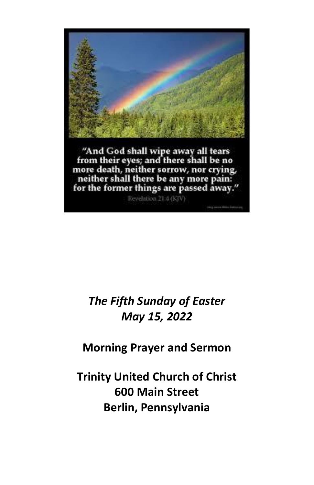

# *The Fifth Sunday of Easter May 15, 2022*

# **Morning Prayer and Sermon**

**Trinity United Church of Christ 600 Main Street Berlin, Pennsylvania**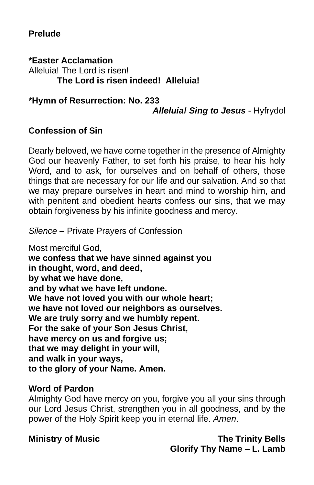### **Prelude**

**\*Easter Acclamation** Alleluia! The Lord is risen! **The Lord is risen indeed! Alleluia!**

**\*Hymn of Resurrection: No. 233** *Alleluia! Sing to Jesus* - Hyfrydol

#### **Confession of Sin**

Dearly beloved, we have come together in the presence of Almighty God our heavenly Father, to set forth his praise, to hear his holy Word, and to ask, for ourselves and on behalf of others, those things that are necessary for our life and our salvation. And so that we may prepare ourselves in heart and mind to worship him, and with penitent and obedient hearts confess our sins, that we may obtain forgiveness by his infinite goodness and mercy.

*Silence* – Private Prayers of Confession

Most merciful God, **we confess that we have sinned against you in thought, word, and deed, by what we have done, and by what we have left undone. We have not loved you with our whole heart; we have not loved our neighbors as ourselves. We are truly sorry and we humbly repent. For the sake of your Son Jesus Christ, have mercy on us and forgive us; that we may delight in your will, and walk in your ways, to the glory of your Name. Amen.**

#### **Word of Pardon**

Almighty God have mercy on you, forgive you all your sins through our Lord Jesus Christ, strengthen you in all goodness, and by the power of the Holy Spirit keep you in eternal life. *Amen*.

**Ministry of Music The Trinity Bells Glorify Thy Name – L. Lamb**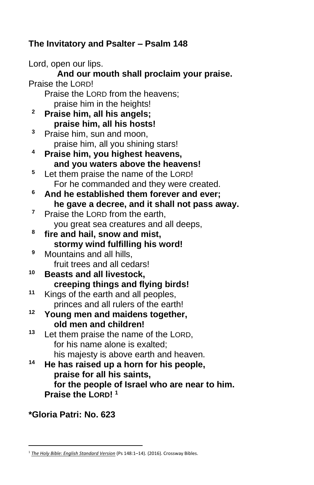## **The Invitatory and Psalter – Psalm 148**

Lord, open our lips. **And our mouth shall proclaim your praise.** Praise the LORD! Praise the LORD from the heavens; praise him in the heights! **<sup>2</sup> Praise him, all his angels; praise him, all his hosts! <sup>3</sup>** Praise him, sun and moon, praise him, all you shining stars! **<sup>4</sup> Praise him, you highest heavens, and you waters above the heavens! <sup>5</sup>** Let them praise the name of the LORD! For he commanded and they were created. **<sup>6</sup> And he established them forever and ever; he gave a decree, and it shall not pass away.**  <sup>7</sup> Praise the LORD from the earth. you great sea creatures and all deeps, **8 fire and hail, snow and mist, stormy wind fulfilling his word! <sup>9</sup>** Mountains and all hills, fruit trees and all cedars! **<sup>10</sup> Beasts and all livestock, creeping things and flying birds! <sup>11</sup>** Kings of the earth and all peoples, princes and all rulers of the earth! **<sup>12</sup> Young men and maidens together, old men and children! <sup>13</sup>** Let them praise the name of the LORD, for his name alone is exalted; his majesty is above earth and heaven. **<sup>14</sup> He has raised up a horn for his people, praise for all his saints, for the people of Israel who are near to him. Praise the LORD! <sup>1</sup>**

#### **\*Gloria Patri: No. 623**

<sup>&</sup>lt;sup>1</sup> [The Holy Bible: English Standard Version](https://ref.ly/logosres/esv?ref=BibleESV.Ps148.1&off=32&ctx=ame+of+the+Lord%0a148%C2%A0~r%EF%BB%BFPraise+the+Lord!+%0a) (Ps 148:1–14). (2016). Crossway Bibles.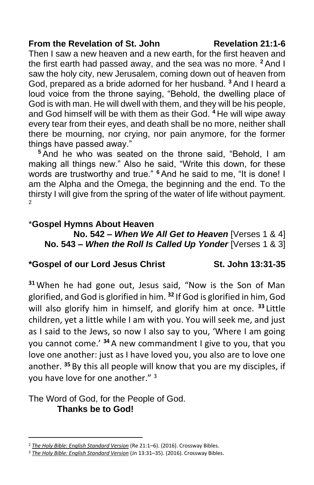#### **From the Revelation of St. John Revelation 21:1-6**

Then I saw a new heaven and a new earth, for the first heaven and the first earth had passed away, and the sea was no more. **<sup>2</sup>** And I saw the holy city, new Jerusalem, coming down out of heaven from God, prepared as a bride adorned for her husband. **<sup>3</sup>** And I heard a loud voice from the throne saying, "Behold, the dwelling place of God is with man. He will dwell with them, and they will be his people, and God himself will be with them as their God. **<sup>4</sup>** He will wipe away every tear from their eyes, and death shall be no more, neither shall there be mourning, nor crying, nor pain anymore, for the former things have passed away."

**<sup>5</sup>** And he who was seated on the throne said, "Behold, I am making all things new." Also he said, "Write this down, for these words are trustworthy and true." **<sup>6</sup>** And he said to me, "It is done! I am the Alpha and the Omega, the beginning and the end. To the thirsty I will give from the spring of the water of life without payment. 2

### \***Gospel Hymns About Heaven**

**No. 542 –** *When We All Get to Heaven* [Verses 1 & 4] **No. 543 –** *When the Roll Is Called Up Yonder* [Verses 1 & 3]

#### **\*Gospel of our Lord Jesus Christ St. John 13:31-35**

**<sup>31</sup>** When he had gone out, Jesus said, "Now is the Son of Man glorified, and God is glorified in him. **<sup>32</sup>** If God is glorified in him, God will also glorify him in himself, and glorify him at once. **<sup>33</sup>** Little children, yet a little while I am with you. You will seek me, and just as I said to the Jews, so now I also say to you, 'Where I am going you cannot come.' **<sup>34</sup>** A new commandment I give to you, that you love one another: just as I have loved you, you also are to love one another. **<sup>35</sup>** By this all people will know that you are my disciples, if you have love for one another." 3

The Word of God, for the People of God. **Thanks be to God!**

<sup>2</sup> *[The Holy Bible: English Standard Version](https://ref.ly/logosres/esv?ref=BibleESV.Re21.1&off=36&ctx=nd+the+New+Earth%0a21%C2%A0~Then+I+saw+y%EF%BB%BFa+new+h)* (Re 21:1–6). (2016). Crossway Bibles.

<sup>3</sup> *[The Holy Bible: English Standard Version](https://ref.ly/logosres/esv?ref=BibleESV.Jn13.31&off=18&ctx=+%0aA+New+Commandment%0a~31%C2%A0%E2%80%A2When+he+had+gone)* (Jn 13:31–35). (2016). Crossway Bibles.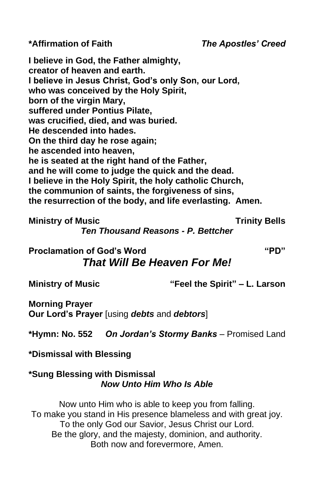**\*Affirmation of Faith** *The Apostles' Creed*

**I believe in God, the Father almighty, creator of heaven and earth. I believe in Jesus Christ, God's only Son, our Lord, who was conceived by the Holy Spirit, born of the virgin Mary, suffered under Pontius Pilate, was crucified, died, and was buried. He descended into hades. On the third day he rose again; he ascended into heaven, he is seated at the right hand of the Father, and he will come to judge the quick and the dead. I believe in the Holy Spirit, the holy catholic Church, the communion of saints, the forgiveness of sins, the resurrection of the body, and life everlasting. Amen.**

**Ministry of Music Trinity Bells** 

*Ten Thousand Reasons - P. Bettcher*

**Proclamation of God's Word "PD"**

# *That Will Be Heaven For Me!*

**Ministry of Music "Feel the Spirit" – L. Larson**

**Morning Prayer Our Lord's Prayer** [using *debts* and *debtors*]

**\*Hymn: No. 552** *On Jordan's Stormy Banks* – Promised Land

**\*Dismissal with Blessing**

#### **\*Sung Blessing with Dismissal** *Now Unto Him Who Is Able*

Now unto Him who is able to keep you from falling. To make you stand in His presence blameless and with great joy. To the only God our Savior, Jesus Christ our Lord. Be the glory, and the majesty, dominion, and authority. Both now and forevermore, Amen.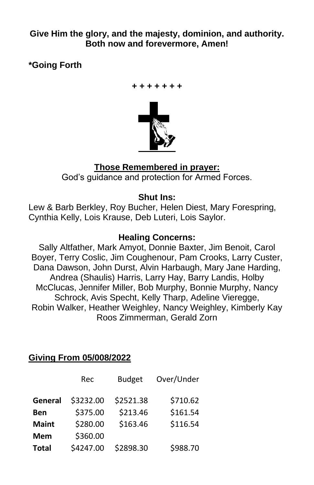**Give Him the glory, and the majesty, dominion, and authority. Both now and forevermore, Amen!**

**\*Going Forth**



### **Those Remembered in prayer:** God's guidance and protection for Armed Forces.

### **Shut Ins:**

Lew & Barb Berkley, Roy Bucher, Helen Diest, Mary Forespring, Cynthia Kelly, Lois Krause, Deb Luteri, Lois Saylor.

#### **Healing Concerns:**

Sally Altfather, Mark Amyot, Donnie Baxter, Jim Benoit, Carol Boyer, Terry Coslic, Jim Coughenour, Pam Crooks, Larry Custer, Dana Dawson, John Durst, Alvin Harbaugh, Mary Jane Harding, Andrea (Shaulis) Harris, Larry Hay, Barry Landis, Holby McClucas, Jennifer Miller, Bob Murphy, Bonnie Murphy, Nancy Schrock, Avis Specht, Kelly Tharp, Adeline Vieregge, Robin Walker, Heather Weighley, Nancy Weighley, Kimberly Kay Roos Zimmerman, Gerald Zorn

### **Giving From 05/008/2022**

|              | Rec       | <b>Budget</b> | Over/Under |
|--------------|-----------|---------------|------------|
| General      | \$3232.00 | \$2521.38     | \$710.62   |
| Ben          | \$375.00  | \$213.46      | \$161.54   |
| <b>Maint</b> | \$280.00  | \$163.46      | \$116.54   |
| <b>Mem</b>   | \$360.00  |               |            |
| <b>Total</b> | \$4247.00 | \$2898.30     | \$988.70   |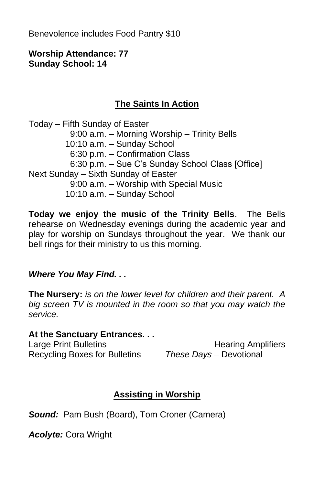Benevolence includes Food Pantry \$10

#### **Worship Attendance: 77 Sunday School: 14**

## **The Saints In Action**

Today – Fifth Sunday of Easter 9:00 a.m. – Morning Worship – Trinity Bells 10:10 a.m. – Sunday School 6:30 p.m. – Confirmation Class 6:30 p.m. – Sue C's Sunday School Class [Office] Next Sunday – Sixth Sunday of Easter 9:00 a.m. – Worship with Special Music 10:10 a.m. – Sunday School

**Today we enjoy the music of the Trinity Bells**. The Bells rehearse on Wednesday evenings during the academic year and play for worship on Sundays throughout the year. We thank our bell rings for their ministry to us this morning.

### *Where You May Find. . .*

**The Nursery:** *is on the lower level for children and their parent. A big screen TV is mounted in the room so that you may watch the service.*

#### **At the Sanctuary Entrances. . .**

Recycling Boxes for Bulletins *These Days –* Devotional

Large Print Bulletins **Example 20** Hearing Amplifiers

## **Assisting in Worship**

*Sound:* Pam Bush (Board), Tom Croner (Camera)

*Acolyte:* Cora Wright